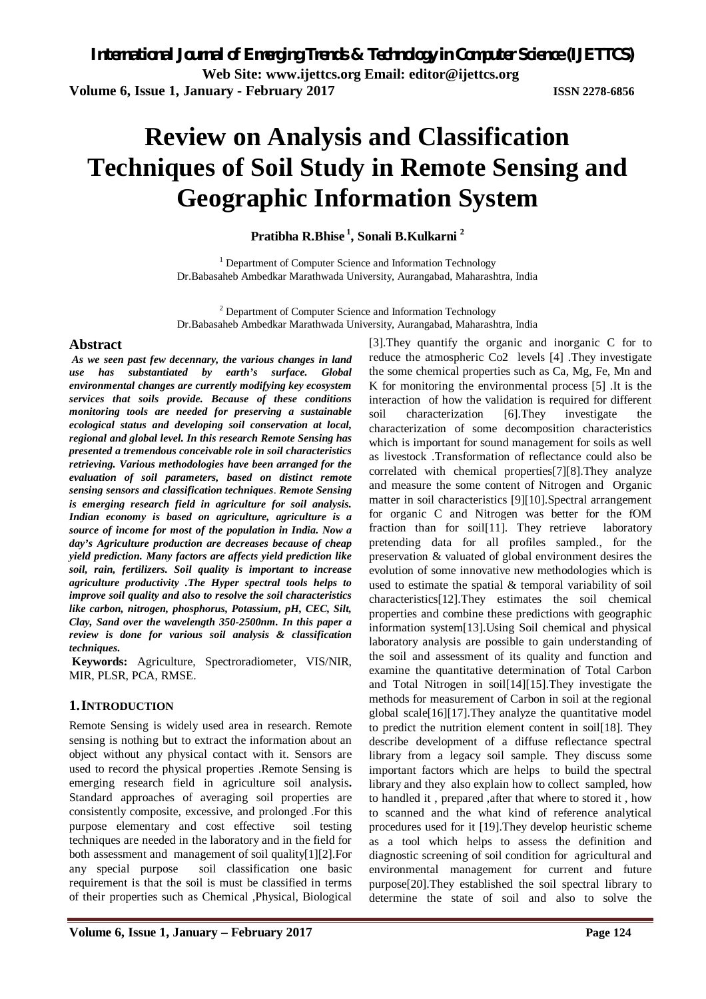# **Review on Analysis and Classification Techniques of Soil Study in Remote Sensing and Geographic Information System**

**Pratibha R.Bhise <sup>1</sup> , Sonali B.Kulkarni <sup>2</sup>**

<sup>1</sup> Department of Computer Science and Information Technology Dr.Babasaheb Ambedkar Marathwada University, Aurangabad, Maharashtra, India

<sup>2</sup> Department of Computer Science and Information Technology Dr.Babasaheb Ambedkar Marathwada University, Aurangabad, Maharashtra, India

### **Abstract**

*As we seen past few decennary, the various changes in land use has substantiated by earth's environmental changes are currently modifying key ecosystem services that soils provide. Because of these conditions monitoring tools are needed for preserving a sustainable ecological status and developing soil conservation at local, regional and global level. In this research Remote Sensing has presented a tremendous conceivable role in soil characteristics retrieving. Various methodologies have been arranged for the evaluation of soil parameters, based on distinct remote sensing sensors and classification techniques*. *Remote Sensing is emerging research field in agriculture for soil analysis. Indian economy is based on agriculture, agriculture is a source of income for most of the population in India. Now a day's Agriculture production are decreases because of cheap yield prediction. Many factors are affects yield prediction like soil, rain, fertilizers. Soil quality is important to increase agriculture productivity .The Hyper spectral tools helps to improve soil quality and also to resolve the soil characteristics like carbon, nitrogen, phosphorus, Potassium, pH, CEC, Silt, Clay, Sand over the wavelength 350-2500nm. In this paper a review is done for various soil analysis & classification techniques.*

**Keywords:** Agriculture, Spectroradiometer, VIS/NIR, MIR, PLSR, PCA, RMSE.

### **1.INTRODUCTION**

Remote Sensing is widely used area in research. Remote sensing is nothing but to extract the information about an object without any physical contact with it. Sensors are used to record the physical properties .Remote Sensing is emerging research field in agriculture soil analysis**.**  Standard approaches of averaging soil properties are consistently composite, excessive, and prolonged .For this purpose elementary and cost effective soil testing techniques are needed in the laboratory and in the field for both assessment and management of soil quality[1][2].For any special purpose soil classification one basic requirement is that the soil is must be classified in terms of their properties such as Chemical ,Physical, Biological

[3].They quantify the organic and inorganic C for to reduce the atmospheric Co2 levels [4] .They investigate the some chemical properties such as Ca, Mg, Fe, Mn and K for monitoring the environmental process [5] .It is the interaction of how the validation is required for different soil characterization [6].They investigate the characterization of some decomposition characteristics which is important for sound management for soils as well as livestock .Transformation of reflectance could also be correlated with chemical properties[7][8].They analyze and measure the some content of Nitrogen and Organic matter in soil characteristics [9][10].Spectral arrangement for organic C and Nitrogen was better for the fOM fraction than for soil[11]. They retrieve laboratory pretending data for all profiles sampled., for the preservation & valuated of global environment desires the evolution of some innovative new methodologies which is used to estimate the spatial & temporal variability of soil characteristics[12].They estimates the soil chemical properties and combine these predictions with geographic information system[13].Using Soil chemical and physical laboratory analysis are possible to gain understanding of the soil and assessment of its quality and function and examine the quantitative determination of Total Carbon and Total Nitrogen in soil[14][15].They investigate the methods for measurement of Carbon in soil at the regional global scale[16][17].They analyze the quantitative model to predict the nutrition element content in soil[18]. They describe development of a diffuse reflectance spectral library from a legacy soil sample. They discuss some important factors which are helps to build the spectral library and they also explain how to collect sampled, how to handled it , prepared ,after that where to stored it , how to scanned and the what kind of reference analytical procedures used for it [19].They develop heuristic scheme as a tool which helps to assess the definition and diagnostic screening of soil condition for agricultural and environmental management for current and future purpose[20].They established the soil spectral library to determine the state of soil and also to solve the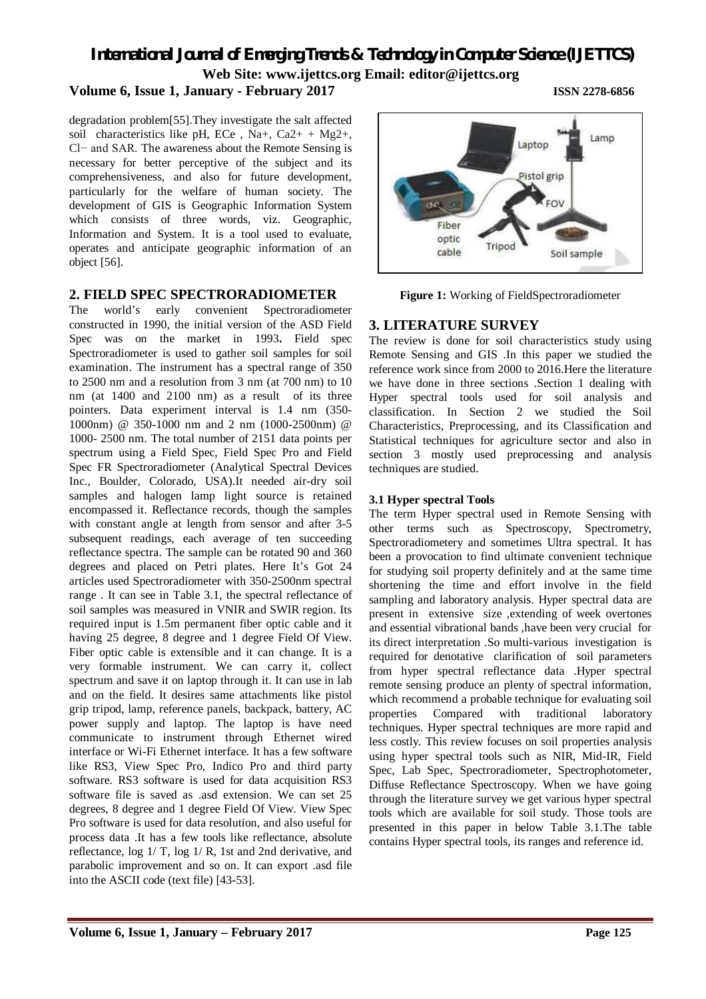### **Volume 6, Issue 1, January - February 2017 ISSN 2278-6856**

degradation problem[55].They investigate the salt affected soil characteristics like pH, ECe, Na+, Ca2+ + Mg2+, Cl− and SAR. The awareness about the Remote Sensing is necessary for better perceptive of the subject and its comprehensiveness, and also for future development, particularly for the welfare of human society. The development of GIS is Geographic Information System which consists of three words, viz. Geographic, Information and System. It is a tool used to evaluate, operates and anticipate geographic information of an object [56].

### **2. FIELD SPEC SPECTRORADIOMETER**

The world's early convenient Spectroradiometer constructed in 1990, the initial version of the ASD Field Spec was on the market in 1993**.** Field spec Spectroradiometer is used to gather soil samples for soil examination. The instrument has a spectral range of 350 to 2500 nm and a resolution from 3 nm (at 700 nm) to 10 nm (at 1400 and 2100 nm) as a result of its three pointers. Data experiment interval is 1.4 nm (350- 1000nm) @ 350-1000 nm and 2 nm (1000-2500nm) @ 1000- 2500 nm. The total number of 2151 data points per spectrum using a Field Spec, Field Spec Pro and Field Spec FR Spectroradiometer (Analytical Spectral Devices Inc., Boulder, Colorado, USA).It needed air-dry soil samples and halogen lamp light source is retained encompassed it. Reflectance records, though the samples with constant angle at length from sensor and after 3-5 subsequent readings, each average of ten succeeding reflectance spectra. The sample can be rotated 90 and 360 degrees and placed on Petri plates. Here It's Got 24 articles used Spectroradiometer with 350-2500nm spectral range . It can see in Table 3.1, the spectral reflectance of soil samples was measured in VNIR and SWIR region. Its required input is 1.5m permanent fiber optic cable and it having 25 degree, 8 degree and 1 degree Field Of View. Fiber optic cable is extensible and it can change. It is a very formable instrument. We can carry it, collect spectrum and save it on laptop through it. It can use in lab and on the field. It desires same attachments like pistol grip tripod, lamp, reference panels, backpack, battery, AC power supply and laptop. The laptop is have need communicate to instrument through Ethernet wired interface or Wi-Fi Ethernet interface. It has a few software like RS3, View Spec Pro, Indico Pro and third party software. RS3 software is used for data acquisition RS3 software file is saved as .asd extension. We can set 25 degrees, 8 degree and 1 degree Field Of View. View Spec Pro software is used for data resolution, and also useful for process data .It has a few tools like reflectance, absolute reflectance, log 1/ T, log 1/ R, 1st and 2nd derivative, and parabolic improvement and so on. It can export .asd file into the ASCII code (text file) [43-53].



**Figure 1:** Working of FieldSpectroradiometer

### **3. LITERATURE SURVEY**

The review is done for soil characteristics study using Remote Sensing and GIS .In this paper we studied the reference work since from 2000 to 2016.Here the literature we have done in three sections .Section 1 dealing with Hyper spectral tools used for soil analysis and classification. In Section 2 we studied the Soil Characteristics, Preprocessing, and its Classification and Statistical techniques for agriculture sector and also in section 3 mostly used preprocessing and analysis techniques are studied.

### **3.1 Hyper spectral Tools**

The term Hyper spectral used in Remote Sensing with other terms such as Spectroscopy, Spectrometry, Spectroradiometery and sometimes Ultra spectral. It has been a provocation to find ultimate convenient technique for studying soil property definitely and at the same time shortening the time and effort involve in the field sampling and laboratory analysis. Hyper spectral data are present in extensive size ,extending of week overtones and essential vibrational bands ,have been very crucial for its direct interpretation .So multi-various investigation is required for denotative clarification of soil parameters from hyper spectral reflectance data .Hyper spectral remote sensing produce an plenty of spectral information, which recommend a probable technique for evaluating soil properties Compared with traditional laboratory techniques. Hyper spectral techniques are more rapid and less costly. This review focuses on soil properties analysis using hyper spectral tools such as NIR, Mid-IR, Field Spec, Lab Spec, Spectroradiometer, Spectrophotometer, Diffuse Reflectance Spectroscopy. When we have going through the literature survey we get various hyper spectral tools which are available for soil study. Those tools are presented in this paper in below Table 3.1.The table contains Hyper spectral tools, its ranges and reference id.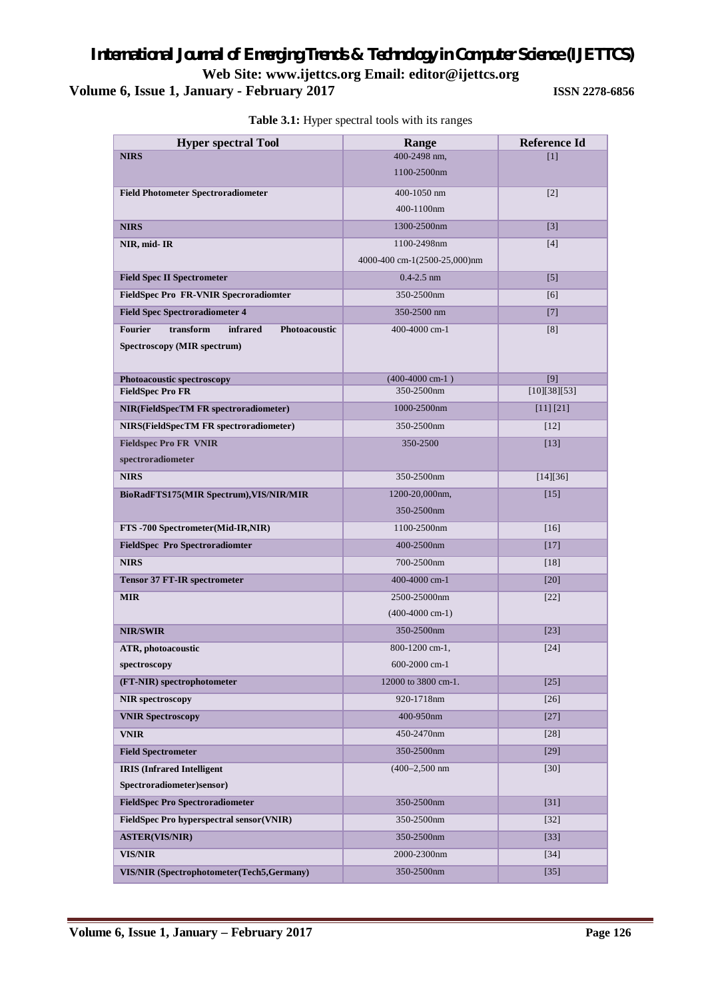### *International Journal of Emerging Trends & Technology in Computer Science (IJETTCS)* **Web Site: www.ijettcs.org Email: [editor@ijettcs.org](mailto:editor@ijettcs.org) Volume 6, Issue 1, January - February 2017** *ISSN 2278-6856*

| <b>Hyper spectral Tool</b>                               | Range                        | <b>Reference Id</b> |
|----------------------------------------------------------|------------------------------|---------------------|
| <b>NIRS</b>                                              | 400-2498 nm,                 | [1]                 |
|                                                          | 1100-2500nm                  |                     |
| <b>Field Photometer Spectroradiometer</b>                | 400-1050 nm                  | $[2]$               |
|                                                          | 400-1100nm                   |                     |
| <b>NIRS</b>                                              | 1300-2500nm                  | $\lceil 3 \rceil$   |
| NIR, mid-IR                                              | 1100-2498nm                  | [4]                 |
|                                                          | 4000-400 cm-1(2500-25,000)nm |                     |
| <b>Field Spec II Spectrometer</b>                        | $0.4 - 2.5$ nm               | $[5]$               |
| <b>FieldSpec Pro FR-VNIR Specroradiomter</b>             | 350-2500nm                   | [6]                 |
| <b>Field Spec Spectroradiometer 4</b>                    | 350-2500 nm                  | $[7]$               |
| <b>Fourier</b><br>transform<br>infrared<br>Photoacoustic | 400-4000 cm-1                | [8]                 |
| Spectroscopy (MIR spectrum)                              |                              |                     |
| Photoacoustic spectroscopy                               | $(400-4000$ cm-1)            | [9]                 |
| <b>FieldSpec Pro FR</b>                                  | 350-2500nm                   | [10][38][53]        |
| <b>NIR(FieldSpecTM FR spectroradiometer)</b>             | 1000-2500nm                  | [11] [21]           |
| <b>NIRS(FieldSpecTM FR spectroradiometer)</b>            | 350-2500nm                   | $[12]$              |
| <b>Fieldspec Pro FR VNIR</b>                             | 350-2500                     | [13]                |
| spectroradiometer                                        |                              |                     |
| <b>NIRS</b>                                              | 350-2500nm                   | [14][36]            |
| BioRadFTS175(MIR Spectrum), VIS/NIR/MIR                  | 1200-20,000nm,               | $[15]$              |
|                                                          | 350-2500nm                   |                     |
| FTS -700 Spectrometer(Mid-IR,NIR)                        | 1100-2500nm                  | [16]                |
| <b>FieldSpec Pro Spectroradiomter</b>                    | 400-2500nm                   | $[17]$              |
| <b>NIRS</b>                                              | 700-2500nm                   | $[18]$              |
| <b>Tensor 37 FT-IR spectrometer</b>                      | 400-4000 cm-1                | [20]                |
| <b>MIR</b>                                               | 2500-25000nm                 | $[22]$              |
|                                                          | $(400-4000$ cm-1)            |                     |
| <b>NIR/SWIR</b>                                          | 350-2500nm                   | $[23]$              |
| ATR, photoacoustic                                       | 800-1200 cm-1,               | $[24]$              |
| spectroscopy                                             | 600-2000 cm-1                |                     |
| (FT-NIR) spectrophotometer                               | 12000 to 3800 cm-1.          | $[25]$              |
| <b>NIR</b> spectroscopy                                  | 920-1718nm                   | $[26]$              |
| <b>VNIR Spectroscopy</b>                                 | 400-950nm                    | $[27]$              |
| <b>VNIR</b>                                              | 450-2470nm                   | $[28]$              |
| <b>Field Spectrometer</b>                                | 350-2500nm                   | $[29]$              |
| <b>IRIS (Infrared Intelligent</b>                        | $(400 - 2,500)$ nm           | $[30]$              |
| Spectroradiometer)sensor)                                |                              |                     |
| <b>FieldSpec Pro Spectroradiometer</b>                   | 350-2500nm                   | $[31]$              |
| FieldSpec Pro hyperspectral sensor(VNIR)                 | 350-2500nm                   | $[32]$              |
| <b>ASTER(VIS/NIR)</b>                                    | 350-2500nm                   | $[33]$              |
| <b>VIS/NIR</b>                                           | 2000-2300nm                  | $[34]$              |
| VIS/NIR (Spectrophotometer(Tech5,Germany)                | 350-2500nm                   | $[35]$              |

**Table 3.1:** Hyper spectral tools with its ranges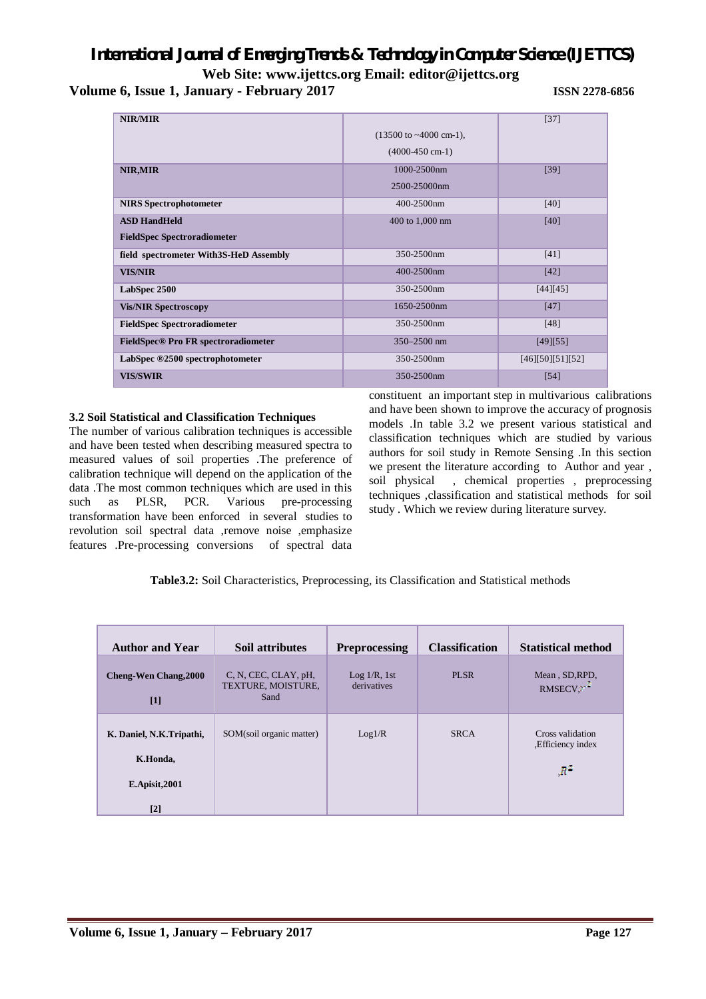**Web Site: www.ijettcs.org Email: [editor@ijettcs.org](mailto:editor@ijettcs.org)** 

**Volume 6, Issue 1, January - February 2017 ISSN 2278-6856**

| NIR/MIR                                |                                           | $[37]$           |
|----------------------------------------|-------------------------------------------|------------------|
|                                        | $(13500 \text{ to } -4000 \text{ cm-1}),$ |                  |
|                                        | $(4000-450$ cm-1)                         |                  |
| NIR, MIR                               | 1000-2500nm                               | $[39]$           |
|                                        | 2500-25000nm                              |                  |
| <b>NIRS</b> Spectrophotometer          | 400-2500nm                                | [40]             |
| <b>ASD HandHeld</b>                    | 400 to 1,000 nm                           | [40]             |
| <b>FieldSpec Spectroradiometer</b>     |                                           |                  |
| field spectrometer With3S-HeD Assembly | 350-2500nm                                | $[41]$           |
| <b>VIS/NIR</b>                         | 400-2500nm                                | [42]             |
| LabSpec 2500                           | 350-2500nm                                | [44][45]         |
| <b>Vis/NIR Spectroscopy</b>            | 1650-2500nm                               | $[47]$           |
| <b>FieldSpec Spectroradiometer</b>     | 350-2500nm                                | [48]             |
| FieldSpec® Pro FR spectroradiometer    | 350-2500 nm                               | [49][55]         |
| LabSpec ®2500 spectrophotometer        | 350-2500nm                                | [46][50][51][52] |
| <b>VIS/SWIR</b>                        | 350-2500nm                                | [54]             |

#### **3.2 Soil Statistical and Classification Techniques**

The number of various calibration techniques is accessible and have been tested when describing measured spectra to measured values of soil properties .The preference of calibration technique will depend on the application of the data .The most common techniques which are used in this such as PLSR, PCR. Various pre-processing transformation have been enforced in several studies to revolution soil spectral data ,remove noise ,emphasize features .Pre-processing conversions of spectral data

constituent an important step in multivarious calibrations and have been shown to improve the accuracy of prognosis models .In table 3.2 we present various statistical and classification techniques which are studied by various authors for soil study in Remote Sensing .In this section we present the literature according to Author and year , soil physical , chemical properties , preprocessing techniques ,classification and statistical methods for soil study . Which we review during literature survey.

### **Table3.2:** Soil Characteristics, Preprocessing, its Classification and Statistical methods

| <b>Author and Year</b>                                            | Soil attributes                                    | <b>Preprocessing</b>           | <b>Classification</b> | <b>Statistical method</b>                             |
|-------------------------------------------------------------------|----------------------------------------------------|--------------------------------|-----------------------|-------------------------------------------------------|
| <b>Cheng-Wen Chang, 2000</b><br>$[1]$                             | C, N, CEC, CLAY, pH,<br>TEXTURE, MOISTURE,<br>Sand | $Log 1/R$ , 1st<br>derivatives | <b>PLSR</b>           | Mean, SD, RPD,<br>RMSECV,"                            |
| K. Daniel, N.K.Tripathi,<br>K.Honda,<br>$E$ . Apisit, 2001<br>[2] | SOM(soil organic matter)                           | Log1/R                         | <b>SRCA</b>           | Cross validation<br>, Efficiency index<br>$R^{\rm T}$ |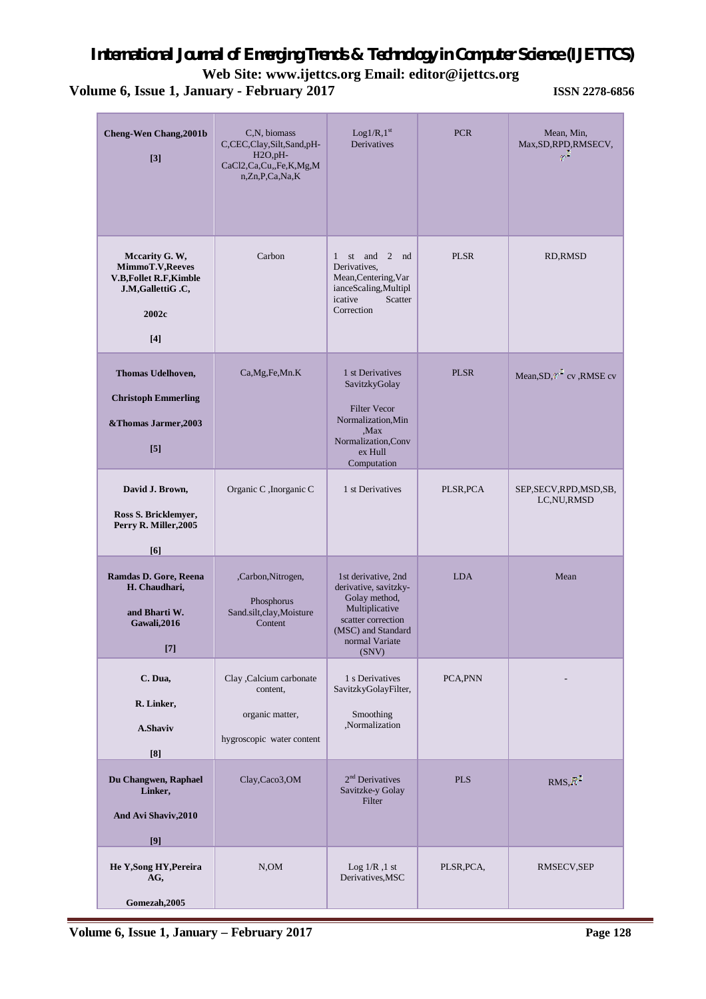**Web Site: www.ijettcs.org Email: [editor@ijettcs.org](mailto:editor@ijettcs.org)** 

| <b>Cheng-Wen Chang, 2001b</b><br>$\lceil 3 \rceil$                                                     | C,N, biomass<br>C,CEC,Clay,Silt,Sand,pH-<br>$H2O, pH-$<br>CaCl2,Ca,Cu,,Fe,K,Mg,M<br>n,Zn,P,Ca,Na,K | Log1/R,1 <sup>st</sup><br>Derivatives                                                                                                                  | <b>PCR</b>  | Mean, Min,<br>Max, SD, RPD, RMSECV,<br>g. |
|--------------------------------------------------------------------------------------------------------|----------------------------------------------------------------------------------------------------|--------------------------------------------------------------------------------------------------------------------------------------------------------|-------------|-------------------------------------------|
| Mccarity G. W,<br>MimmoT.V, Reeves<br><b>V.B,Follet R.F,Kimble</b><br>J.M,GallettiG.C,<br>2002c<br>[4] | Carbon                                                                                             | st and 2 nd<br>1<br>Derivatives,<br>Mean, Centering, Var<br>ianceScaling,Multipl<br>icative<br>Scatter<br>Correction                                   | <b>PLSR</b> | <b>RD, RMSD</b>                           |
| Thomas Udelhoven,<br><b>Christoph Emmerling</b><br>&Thomas Jarmer, 2003<br>$\lceil 5 \rceil$           | Ca, Mg, Fe, Mn. K                                                                                  | 1 st Derivatives<br>SavitzkyGolay<br><b>Filter Vecor</b><br>Normalization, Min<br>Max.<br>Normalization, Conv<br>ex Hull<br>Computation                | <b>PLSR</b> | Mean, SD, Y cv, RMSE cv                   |
| David J. Brown,<br>Ross S. Bricklemyer,<br>Perry R. Miller, 2005<br>[6]                                | Organic C, Inorganic C                                                                             | 1 st Derivatives                                                                                                                                       | PLSR, PCA   | SEP, SECV, RPD, MSD, SB,<br>LC, NU, RMSD  |
| Ramdas D. Gore, Reena<br>H. Chaudhari,<br>and Bharti W.<br>Gawali, 2016                                | ,Carbon,Nitrogen,<br>Phosphorus<br>Sand.silt,clay,Moisture<br>Content                              | 1st derivative, 2nd<br>derivative, savitzky-<br>Golay method,<br>Multiplicative<br>scatter correction<br>(MSC) and Standard<br>normal Variate<br>(SNV) | <b>LDA</b>  | Mean                                      |
| C. Dua,<br>R. Linker,<br><b>A.Shaviv</b><br>[8]                                                        | Clay , Calcium carbonate<br>content,<br>organic matter,<br>hygroscopic water content               | 1 s Derivatives<br>SavitzkyGolayFilter,<br>Smoothing<br>,Normalization                                                                                 | PCA, PNN    |                                           |
| Du Changwen, Raphael<br>Linker,<br>And Avi Shaviv, 2010<br>[9]                                         | Clay,Caco3,OM                                                                                      | $2nd$ Derivatives<br>Savitzke-y Golay<br>Filter                                                                                                        | <b>PLS</b>  | $RMS, \overline{R}$                       |
| He Y, Song HY, Pereira<br>AG,<br>Gomezah, 2005                                                         | N, OM                                                                                              | Log $1/R$ , 1 st<br>Derivatives, MSC                                                                                                                   | PLSR, PCA,  | RMSECV, SEP                               |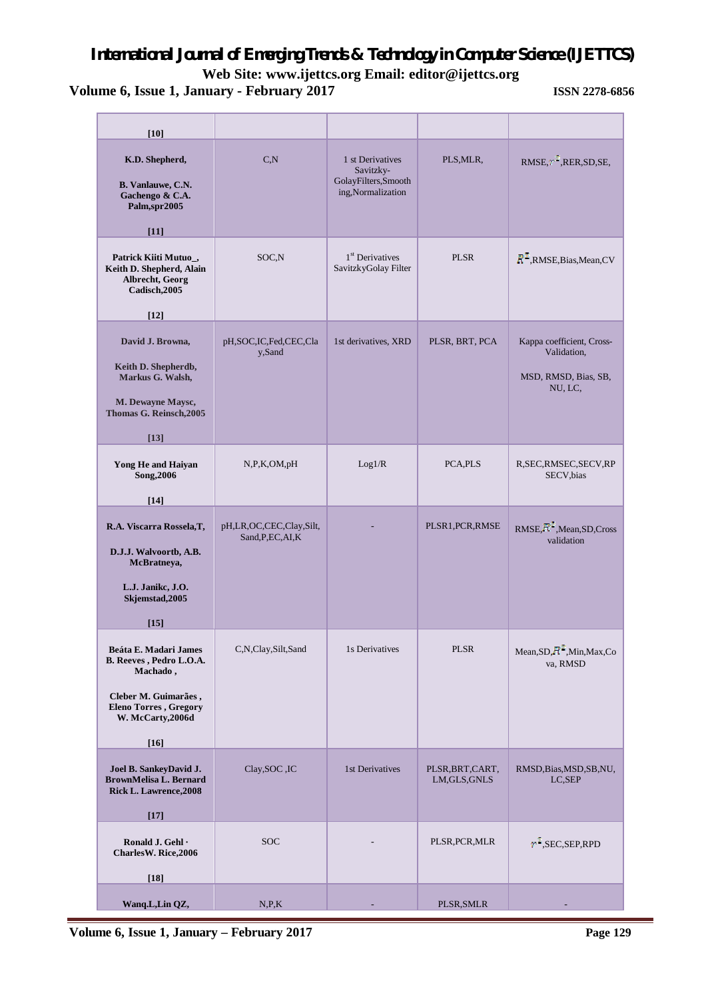**Web Site: www.ijettcs.org Email: [editor@ijettcs.org](mailto:editor@ijettcs.org)** 

| $[10]$                                                                                                                                                      |                                               |                                                                            |                                   |                                                                             |
|-------------------------------------------------------------------------------------------------------------------------------------------------------------|-----------------------------------------------|----------------------------------------------------------------------------|-----------------------------------|-----------------------------------------------------------------------------|
| K.D. Shepherd,<br>B. Vanlauwe, C.N.<br>Gachengo & C.A.<br>Palm,spr2005<br>[11]                                                                              | C, N                                          | 1 st Derivatives<br>Savitzky-<br>GolayFilters, Smooth<br>ing,Normalization | PLS, MLR,                         | RMSE, r RER, SD, SE,                                                        |
| Patrick Kiiti Mutuo_,<br>Keith D. Shepherd, Alain<br>Albrecht, Georg<br>Cadisch, 2005<br>[12]                                                               | SOC <sub>N</sub>                              | 1 <sup>st</sup> Derivatives<br>SavitzkyGolay Filter                        | <b>PLSR</b>                       | $RT$ , RMSE, Bias, Mean, CV                                                 |
| David J. Browna,<br>Keith D. Shepherdb,<br>Markus G. Walsh,<br><b>M. Dewayne Maysc,</b><br>Thomas G. Reinsch, 2005<br>[13]                                  | pH,SOC,IC,Fed,CEC,Cla<br>y,Sand               | 1st derivatives, XRD                                                       | PLSR, BRT, PCA                    | Kappa coefficient, Cross-<br>Validation,<br>MSD, RMSD, Bias, SB,<br>NU, LC, |
| Yong He and Haiyan<br>Song, 2006<br>$[14]$                                                                                                                  | N, P, K, OM, pH                               | Log1/R                                                                     | PCA, PLS                          | R, SEC, RMSEC, SECV, RP<br>SECV,bias                                        |
| R.A. Viscarra Rossela, T,<br>D.J.J. Walvoortb, A.B.<br>McBratneya,<br>L.J. Janikc, J.O.<br>Skjemstad, 2005<br>$[15]$                                        | pH,LR,OC,CEC,Clay,Silt,<br>Sand, P, EC, AI, K |                                                                            | PLSR1, PCR, RMSE                  | $RMSE, H^*$ , Mean, SD, Cross<br>validation                                 |
| <b>Beáta E. Madari James</b><br>B. Reeves, Pedro L.O.A.<br>Machado,<br>Cleber M. Guimarães,<br><b>Eleno Torres</b> , Gregory<br>W. McCarty, 2006d<br>$[16]$ | C,N,Clay,Silt,Sand                            | 1s Derivatives                                                             | PLSR                              | Mean, SD, R <sup>*</sup> , Min, Max, Co<br>va, RMSD                         |
| Joel B. SankeyDavid J.<br><b>BrownMelisa L. Bernard</b><br>Rick L. Lawrence, 2008<br>$[17]$                                                                 | Clay, SOC , IC                                | 1st Derivatives                                                            | PLSR, BRT, CART,<br>LM, GLS, GNLS | RMSD, Bias, MSD, SB, NU,<br>LC, SEP                                         |
| Ronald J. Gehl ·<br>CharlesW. Rice,2006<br>$[18]$                                                                                                           | <b>SOC</b>                                    |                                                                            | PLSR, PCR, MLR                    | $r^2$ , SEC, SEP, RPD                                                       |
| Wanq.L,Lin QZ,                                                                                                                                              | N, P, K                                       |                                                                            | PLSR, SMLR                        |                                                                             |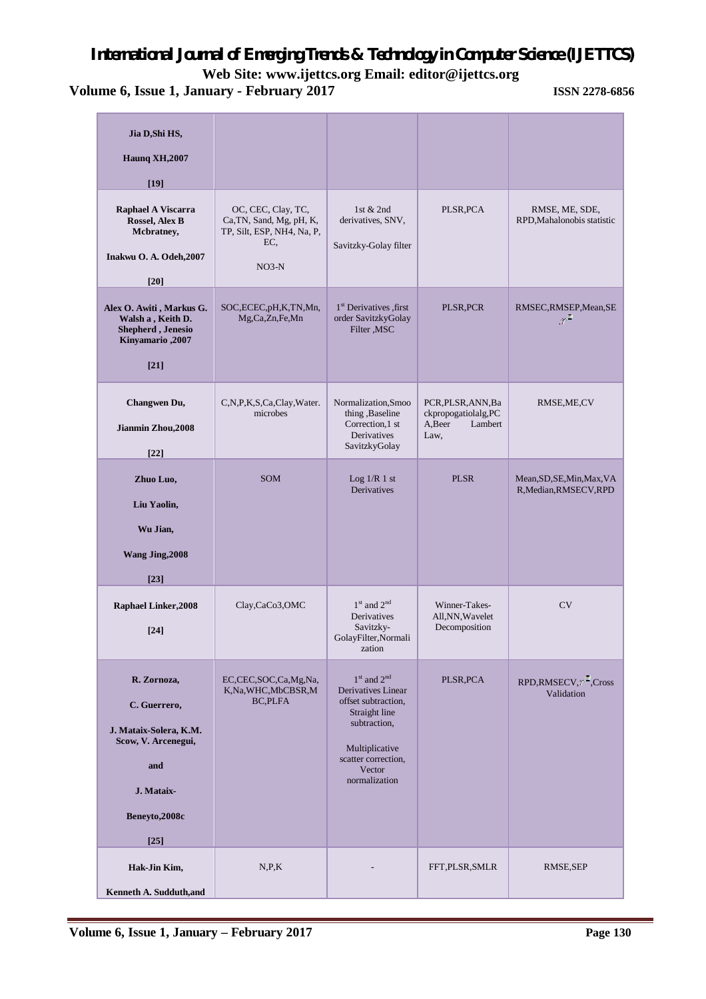**Web Site: www.ijettcs.org Email: [editor@ijettcs.org](mailto:editor@ijettcs.org)** 

| Jia D, Shi HS,                                                                                                                |                                                                                                |                                                                                                                                                                   |                                                                         |                                                      |
|-------------------------------------------------------------------------------------------------------------------------------|------------------------------------------------------------------------------------------------|-------------------------------------------------------------------------------------------------------------------------------------------------------------------|-------------------------------------------------------------------------|------------------------------------------------------|
| <b>Haunq XH,2007</b>                                                                                                          |                                                                                                |                                                                                                                                                                   |                                                                         |                                                      |
| $[19]$                                                                                                                        |                                                                                                |                                                                                                                                                                   |                                                                         |                                                      |
| Raphael A Viscarra<br>Rossel, Alex B<br>Mcbratney,<br>Inakwu O. A. Odeh, 2007<br>$[20]$                                       | OC, CEC, Clay, TC,<br>Ca, TN, Sand, Mg, pH, K,<br>TP, Silt, ESP, NH4, Na, P,<br>EC.<br>$NO3-N$ | 1st & 2nd<br>derivatives, SNV,<br>Savitzky-Golay filter                                                                                                           | PLSR, PCA                                                               | RMSE, ME, SDE,<br>RPD, Mahalonobis statistic         |
| Alex O. Awiti, Markus G.<br>Walsh a, Keith D.<br>Shepherd, Jenesio<br>Kinyamario, 2007<br>$[21]$                              | SOC, ECEC, pH, K, TN, Mn,<br>Mg,Ca,Zn,Fe,Mn                                                    | 1 <sup>st</sup> Derivatives first<br>order SavitzkyGolay<br>Filter , MSC                                                                                          | PLSR, PCR                                                               | RMSEC,RMSEP,Mean,SE<br>$\mathbb{R}^2$                |
| Changwen Du,<br>Jianmin Zhou, 2008<br>$[22]$                                                                                  | C,N,P,K,S,Ca,Clay,Water.<br>microbes                                                           | Normalization, Smoo<br>thing , Baseline<br>Correction,1 st<br>Derivatives<br>SavitzkyGolay                                                                        | PCR, PLSR, ANN, Ba<br>ckpropogatiolalg,PC<br>A, Beer<br>Lambert<br>Law, | RMSE, ME, CV                                         |
| Zhuo Luo,<br>Liu Yaolin,<br>Wu Jian,<br>Wang Jing, 2008<br>$[23]$                                                             | <b>SOM</b>                                                                                     | Log $1/R$ 1 st<br>Derivatives                                                                                                                                     | <b>PLSR</b>                                                             | Mean, SD, SE, Min, Max, VA<br>R, Median, RMSECV, RPD |
| <b>Raphael Linker, 2008</b><br>$[24]$                                                                                         | Clay,CaCo3,OMC                                                                                 | $1st$ and $2nd$<br>Derivatives<br>Savitzky-<br>GolayFilter, Normali<br>zation                                                                                     | Winner-Takes-<br>All, NN, Wavelet<br>Decomposition                      | <b>CV</b>                                            |
| R. Zornoza,<br>C. Guerrero,<br>J. Mataix-Solera, K.M.<br>Scow, V. Arcenegui,<br>and<br>J. Mataix-<br>Beneyto, 2008c<br>$[25]$ | EC,CEC,SOC,Ca,Mg,Na,<br>K,Na,WHC,MbCBSR,M<br><b>BC,PLFA</b>                                    | $1st$ and $2nd$<br>Derivatives Linear<br>offset subtraction.<br>Straight line<br>subtraction,<br>Multiplicative<br>scatter correction.<br>Vector<br>normalization | PLSR, PCA                                                               | RPD,RMSECV, Cross<br>Validation                      |
| Hak-Jin Kim,<br>Kenneth A. Sudduth, and                                                                                       | N, P, K                                                                                        |                                                                                                                                                                   | FFT, PLSR, SMLR                                                         | RMSE, SEP                                            |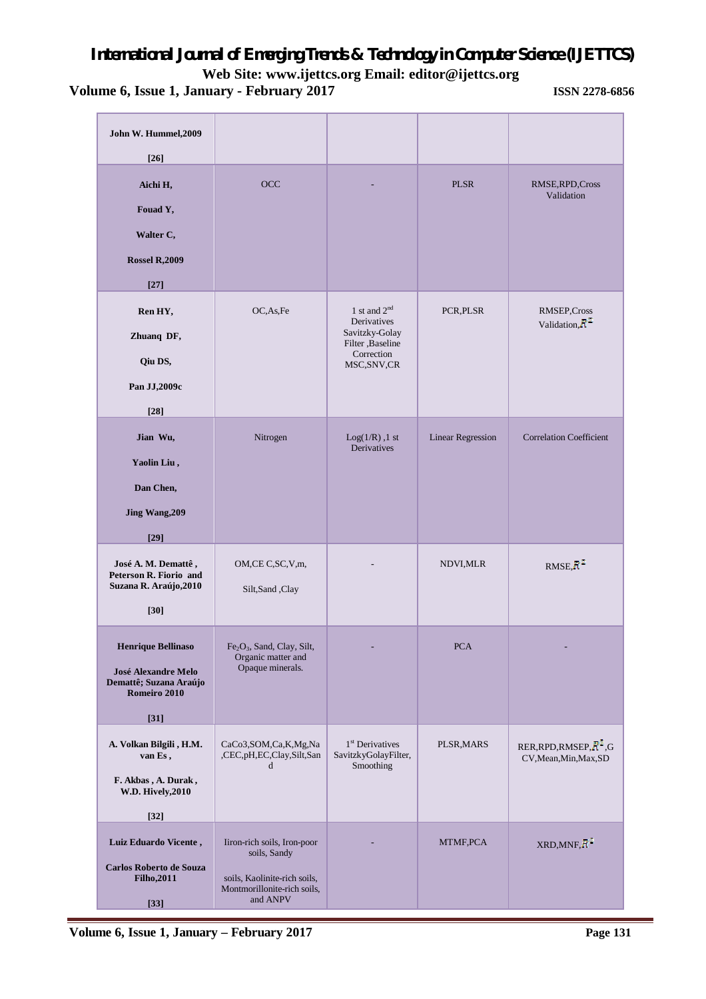| John W. Hummel, 2009<br>$[26]$                                                                              |                                                                                                                        |                                                                                                    |                          |                                                      |
|-------------------------------------------------------------------------------------------------------------|------------------------------------------------------------------------------------------------------------------------|----------------------------------------------------------------------------------------------------|--------------------------|------------------------------------------------------|
| Aichi H,<br>Fouad Y,<br>Walter C,<br><b>Rossel R,2009</b><br>$[27]$                                         | <b>OCC</b>                                                                                                             |                                                                                                    | <b>PLSR</b>              | RMSE, RPD, Cross<br>Validation                       |
| Ren HY,<br>Zhuanq DF,<br>Qiu DS,<br>Pan JJ,2009c<br>$[28]$                                                  | OC, As, Fe                                                                                                             | 1 st and $2nd$<br>Derivatives<br>Savitzky-Golay<br>Filter , Baseline<br>Correction<br>MSC, SNV, CR | PCR, PLSR                | RMSEP, Cross<br>Validation, $R^2$                    |
| Jian Wu,<br>Yaolin Liu,<br>Dan Chen,<br>Jing Wang, 209<br>$[29]$                                            | Nitrogen                                                                                                               | $Log(1/R)$ , 1 st<br>Derivatives                                                                   | <b>Linear Regression</b> | <b>Correlation Coefficient</b>                       |
| José A. M. Demattê,<br>Peterson R. Fiorio and<br>Suzana R. Araújo, 2010<br>$[30]$                           | OM,CE C,SC,V,m,<br>Silt,Sand,Clay                                                                                      |                                                                                                    | NDVI, MLR                | RMSE, $R^*$                                          |
| <b>Henrique Bellinaso</b><br><b>José Alexandre Melo</b><br>Demattê; Suzana Araújo<br>Romeiro 2010<br>$[31]$ | Fe <sub>2</sub> O <sub>3</sub> , Sand, Clay, Silt,<br>Organic matter and<br>Opaque minerals.                           |                                                                                                    | <b>PCA</b>               |                                                      |
| A. Volkan Bilgili, H.M.<br>van Es,<br>F. Akbas, A. Durak,<br><b>W.D. Hively, 2010</b><br>$[32]$             | CaCo3,SOM,Ca,K,Mg,Na<br>,CEC,pH,EC,Clay,Silt,San<br>d                                                                  | 1 <sup>st</sup> Derivatives<br>SavitzkyGolayFilter,<br>Smoothing                                   | PLSR, MARS               | RER, RPD, RMSEP, $R^2$ , G<br>CV, Mean, Min, Max, SD |
| Luiz Eduardo Vicente,<br><b>Carlos Roberto de Souza</b><br><b>Filho, 2011</b><br>$[33]$                     | Iiron-rich soils, Iron-poor<br>soils, Sandy<br>soils, Kaolinite-rich soils,<br>Montmorillonite-rich soils,<br>and ANPV |                                                                                                    | MTMF, PCA                | $XRD, MNF, R$ <sup>*</sup>                           |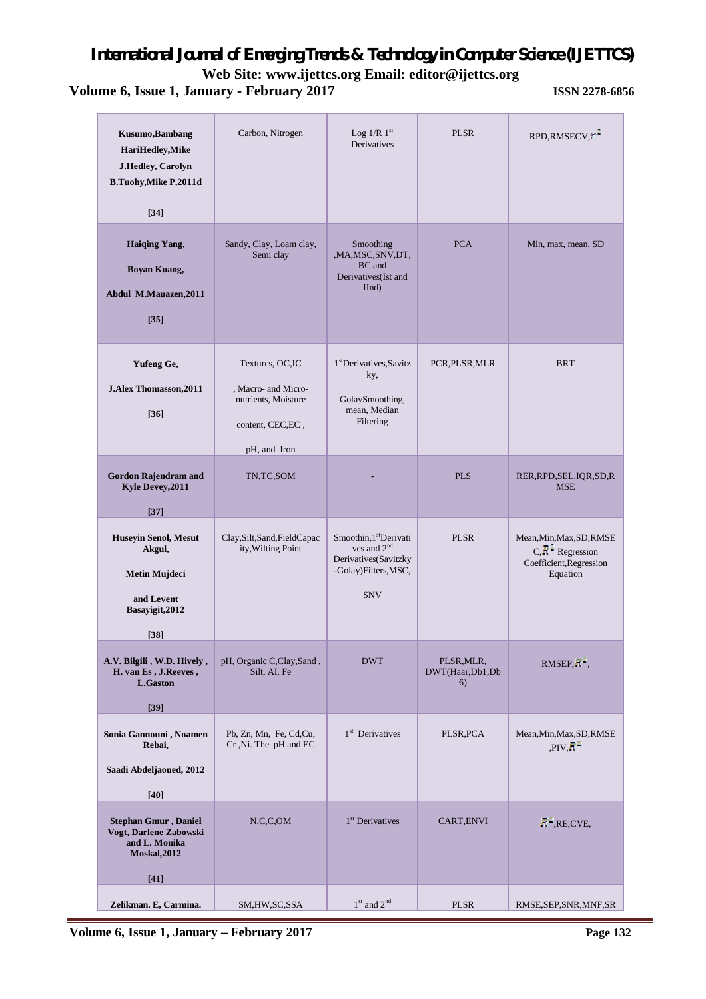**Web Site: www.ijettcs.org Email: [editor@ijettcs.org](mailto:editor@ijettcs.org)** 

| Kusumo, Bambang<br>HariHedley, Mike<br>J.Hedley, Carolyn<br><b>B.Tuohy, Mike P, 2011d</b><br>$[34]$      | Carbon, Nitrogen                                                                                   | Log $1/R$ $1st$<br>Derivatives                                                                                    | <b>PLSR</b>                         | RPD,RMSECV,                                                                            |
|----------------------------------------------------------------------------------------------------------|----------------------------------------------------------------------------------------------------|-------------------------------------------------------------------------------------------------------------------|-------------------------------------|----------------------------------------------------------------------------------------|
| <b>Haiqing Yang,</b><br><b>Boyan Kuang,</b><br>Abdul M.Mauazen, 2011<br>$[35]$                           | Sandy, Clay, Loam clay,<br>Semi clay                                                               | Smoothing<br>,MA,MSC,SNV,DT,<br>BC and<br>Derivatives(Ist and<br>IInd)                                            | <b>PCA</b>                          | Min, max, mean, SD                                                                     |
| Yufeng Ge,<br>J.Alex Thomasson, 2011<br>$[36]$                                                           | Textures, OC,IC<br>, Macro- and Micro-<br>nutrients, Moisture<br>content, CEC, EC,<br>pH, and Iron | 1 <sup>st</sup> Derivatives, Savitz<br>ky,<br>GolaySmoothing,<br>mean, Median<br>Filtering                        | PCR, PLSR, MLR                      | <b>BRT</b>                                                                             |
| <b>Gordon Rajendram and</b><br>Kyle Devey, 2011<br>$[37]$                                                | TN,TC,SOM                                                                                          |                                                                                                                   | <b>PLS</b>                          | RER, RPD, SEL, IQR, SD, R<br><b>MSE</b>                                                |
| <b>Huseyin Senol, Mesut</b><br>Akgul,<br><b>Metin Mujdeci</b><br>and Levent<br>Basayigit, 2012<br>$[38]$ | Clay, Silt, Sand, FieldCapac<br>ity, Wilting Point                                                 | Smoothin, 1 <sup>st</sup> Derivati<br>ves and $2nd$<br>Derivatives(Savitzky<br>-Golay)Filters, MSC,<br><b>SNV</b> | <b>PLSR</b>                         | Mean, Min, Max, SD, RMSE<br>$C, R^2$ Regression<br>Coefficient, Regression<br>Equation |
| A.V. Bilgili, W.D. Hively,<br>H. van Es, J.Reeves,<br><b>L.Gaston</b><br>$[39]$                          | pH, Organic C, Clay, Sand,<br>Silt, AI, Fe                                                         | <b>DWT</b>                                                                                                        | PLSR, MLR,<br>DWT(Haar,Db1,Db<br>6) | RMSEP, $R^2$ ,                                                                         |
| Sonia Gannouni, Noamen<br>Rebai,<br>Saadi Abdeljaoued, 2012<br>$[40]$                                    | Pb, Zn, Mn, Fe, Cd,Cu,<br>Cr, Ni. The pH and EC                                                    | 1 <sup>st</sup> Derivatives                                                                                       | PLSR, PCA                           | Mean, Min, Max, SD, RMSE<br>$PIV, R^*$                                                 |
| <b>Stephan Gmur, Daniel</b><br>Vogt, Darlene Zabowski<br>and L. Monika<br><b>Moskal, 2012</b><br>[41]    | N, C, C, OM                                                                                        | 1 <sup>st</sup> Derivatives                                                                                       | CART, ENVI                          | $R^2$ , RE, CVE,                                                                       |
| Zelikman. E, Carmina.                                                                                    | SM, HW, SC, SSA                                                                                    | $1st$ and $2nd$                                                                                                   | <b>PLSR</b>                         | RMSE, SEP, SNR, MNF, SR                                                                |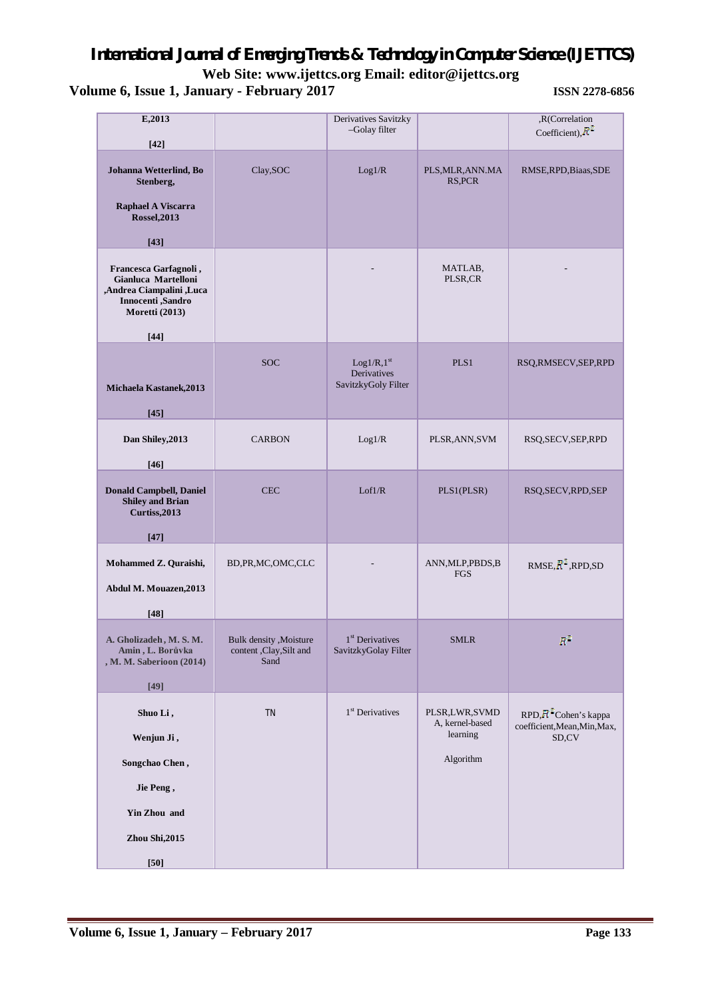| E,2013<br>$[42]$                                                                                                                          |                                                             | Derivatives Savitzky<br>-Golay filter                        |                                                           | ,R(Correlation<br>Coefficient), $R^2$                                      |
|-------------------------------------------------------------------------------------------------------------------------------------------|-------------------------------------------------------------|--------------------------------------------------------------|-----------------------------------------------------------|----------------------------------------------------------------------------|
| Johanna Wetterlind, Bo<br>Stenberg,<br>Raphael A Viscarra<br><b>Rossel, 2013</b>                                                          | Clay, SOC                                                   | Log1/R                                                       | PLS, MLR, ANN. MA<br>RS, PCR                              | RMSE, RPD, Biaas, SDE                                                      |
| $[43]$<br>Francesca Garfagnoli,<br>Gianluca Martelloni<br>,Andrea Ciampalini,Luca<br>Innocenti ,Sandro<br><b>Moretti (2013)</b><br>$[44]$ |                                                             |                                                              | MATLAB,<br>PLSR,CR                                        |                                                                            |
| Michaela Kastanek, 2013<br>$[45]$                                                                                                         | <b>SOC</b>                                                  | Log1/R,1 <sup>st</sup><br>Derivatives<br>SavitzkyGoly Filter | PLS1                                                      | RSQ,RMSECV,SEP,RPD                                                         |
| Dan Shiley, 2013<br>$[46]$                                                                                                                | <b>CARBON</b>                                               | Log1/R                                                       | PLSR, ANN, SVM                                            | RSQ, SECV, SEP, RPD                                                        |
| <b>Donald Campbell, Daniel</b><br><b>Shiley and Brian</b><br>Curtiss, 2013                                                                | <b>CEC</b>                                                  | Lof1/R                                                       | PLS1(PLSR)                                                | RSQ, SECV, RPD, SEP                                                        |
| $[47]$<br>Mohammed Z. Quraishi,<br>Abdul M. Mouazen, 2013<br>$[48]$                                                                       | BD, PR, MC, OMC, CLC                                        |                                                              | ANN, MLP, PBDS, B<br>FGS                                  | RMSE, $R^2$ , RPD, SD                                                      |
| A. Gholizadeh, M. S. M.<br>Amin, L. Borůvka<br>, M. M. Saberioon (2014)<br>$[49]$                                                         | Bulk density , Moisture<br>content , Clay, Silt and<br>Sand | 1 <sup>st</sup> Derivatives<br>SavitzkyGolay Filter          | <b>SMLR</b>                                               | $R^{\mathbb{Z}}$                                                           |
| Shuo Li,<br>Wenjun Ji,<br>Songchao Chen,<br>Jie Peng,<br><b>Yin Zhou and</b><br>Zhou Shi, 2015<br>$[50]$                                  | <b>TN</b>                                                   | 1 <sup>st</sup> Derivatives                                  | PLSR,LWR,SVMD<br>A, kernel-based<br>learning<br>Algorithm | RPD, R <sup>2</sup> Cohen's kappa<br>coefficient, Mean, Min, Max,<br>SD,CV |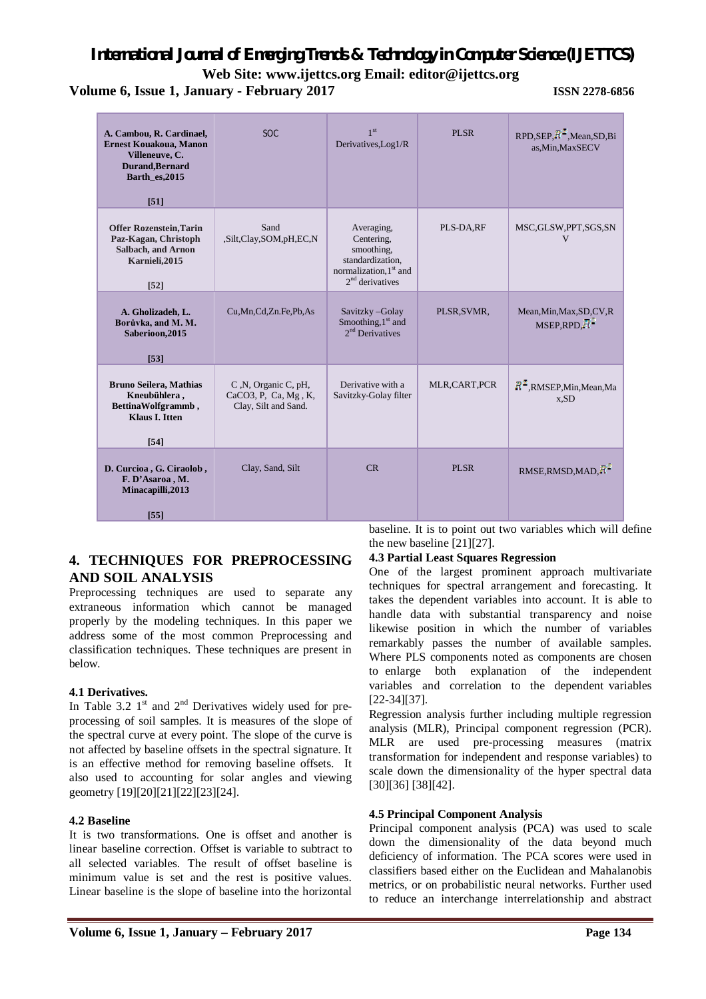**Web Site: www.ijettcs.org Email: [editor@ijettcs.org](mailto:editor@ijettcs.org)** 

**Volume 6, Issue 1, January - February 2017 ISSN 2278-6856**

| A. Cambou, R. Cardinael,<br><b>Ernest Kouakoua, Manon</b><br>Villeneuve, C.<br>Durand, Bernard<br>Barth_es,2015<br>[51] | <b>SOC</b>                                                           | 1 <sup>st</sup><br>Derivatives, Log1/R                                                                                | <b>PLSR</b>  | $RPD, SEP, \overline{R}^{\perp}, Mean, SD, Bi$<br>as, Min, MaxSECV |
|-------------------------------------------------------------------------------------------------------------------------|----------------------------------------------------------------------|-----------------------------------------------------------------------------------------------------------------------|--------------|--------------------------------------------------------------------|
| <b>Offer Rozenstein, Tarin</b><br>Paz-Kagan, Christoph<br><b>Salbach, and Arnon</b><br>Karnieli, 2015<br>$[52]$         | Sand<br>,Silt,Clay,SOM,pH,EC,N                                       | Averaging,<br>Centering,<br>smoothing.<br>standardization,<br>normalization, 1 <sup>st</sup> and<br>$2nd$ derivatives | PLS-DA,RF    | MSC, GLSW, PPT, SGS, SN<br>V                                       |
| A. Gholizadeh, L.<br>Borůvka, and M. M.<br>Saberioon, 2015<br>[53]                                                      | Cu, Mn, Cd, Zn. Fe, Pb, As                                           | Savitzky-Golay<br>Smoothing, $1st$ and<br>$2nd$ Derivatives                                                           | PLSR, SVMR,  | Mean, Min, Max, SD, CV, R<br>MSEP, RPD, H                          |
| <b>Bruno Seilera, Mathias</b><br>Kneubühlera,<br>BettinaWolfgrammb,<br><b>Klaus I. Itten</b><br>$[54]$                  | C, N, Organic C, pH,<br>CaCO3, P, Ca, Mg, K,<br>Clay, Silt and Sand. | Derivative with a<br>Savitzky-Golay filter                                                                            | MLR,CART,PCR | $R^2$ , RMSEP, Min, Mean, Ma<br>x,SD                               |
| D. Curcioa, G. Ciraolob,<br>F. D'Asaroa, M.<br>Minacapilli, 2013<br>[55]                                                | Clay, Sand, Silt                                                     | CR                                                                                                                    | PLSR         | RMSE, RMSD, MAD, R                                                 |

### **4. TECHNIQUES FOR PREPROCESSING AND SOIL ANALYSIS**

Preprocessing techniques are used to separate any extraneous information which cannot be managed properly by the modeling techniques. In this paper we address some of the most common Preprocessing and classification techniques. These techniques are present in below.

### **4.1 Derivatives.**

In Table 3.2  $1<sup>st</sup>$  and  $2<sup>nd</sup>$  Derivatives widely used for preprocessing of soil samples. It is measures of the slope of the spectral curve at every point. The slope of the curve is not affected by baseline offsets in the spectral signature. It is an effective method for removing baseline offsets. It also used to accounting for solar angles and viewing geometry [19][20][21][22][23][24].

#### **4.2 Baseline**

It is two transformations. One is offset and another is linear baseline correction. Offset is variable to subtract to all selected variables. The result of offset baseline is minimum value is set and the rest is positive values. Linear baseline is the slope of baseline into the horizontal baseline. It is to point out two variables which will define the new baseline [21][27].

### **4.3 Partial Least Squares Regression**

One of the largest prominent approach multivariate techniques for spectral arrangement and forecasting. It takes the dependent variables into account. It is able to handle data with substantial transparency and noise likewise position in which the number of variables remarkably passes the number of available samples. Where PLS components noted as components are chosen to enlarge both explanation of the independent variables and correlation to the dependent variables [22-34][37].

Regression analysis further including multiple regression analysis (MLR), Principal component regression (PCR). MLR are used pre-processing measures (matrix transformation for independent and response variables) to scale down the dimensionality of the hyper spectral data [30][36] [38][42].

### **4.5 Principal Component Analysis**

Principal component analysis (PCA) was used to scale down the dimensionality of the data beyond much deficiency of information. The PCA scores were used in classifiers based either on the Euclidean and Mahalanobis metrics, or on probabilistic neural networks. Further used to reduce an interchange interrelationship and abstract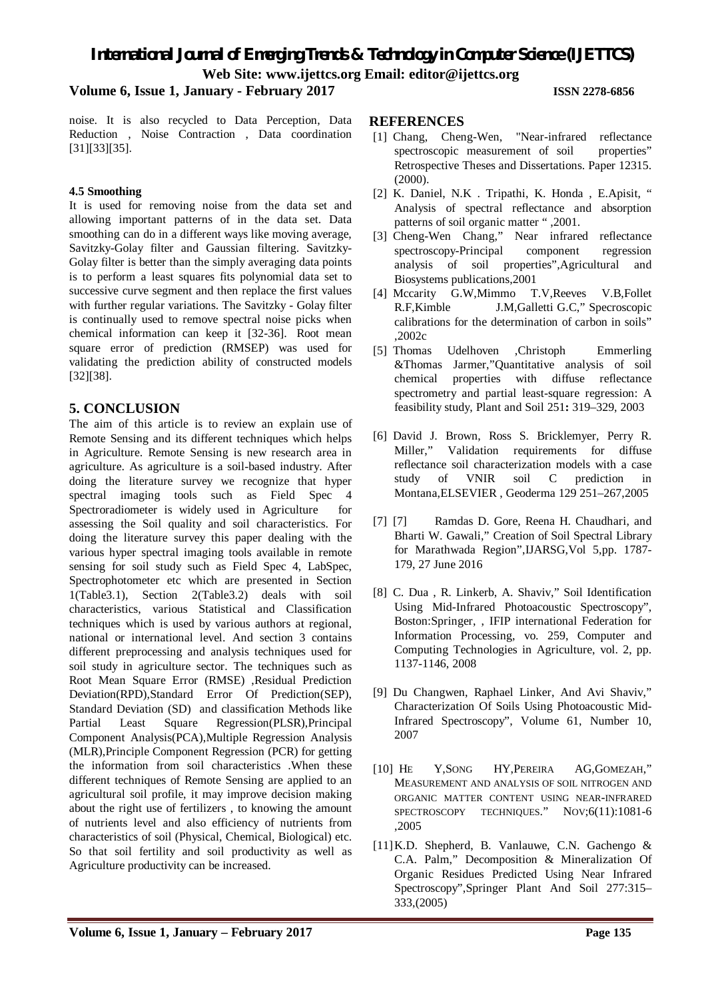**Web Site: www.ijettcs.org Email: [editor@ijettcs.org](mailto:editor@ijettcs.org)** 

### **Volume 6, Issue 1, January - February 2017 ISSN 2278-6856**

noise. It is also recycled to Data Perception, Data Reduction , Noise Contraction , Data coordination [31][33][35].

#### **4.5 Smoothing**

It is used for removing noise from the data set and allowing important patterns of in the data set. Data smoothing can do in a different ways like moving average, Savitzky-Golay filter and Gaussian filtering. Savitzky-Golay filter is better than the simply averaging data points is to perform a least squares fits polynomial data set to successive curve segment and then replace the first values with further regular variations. The Savitzky - Golay filter is continually used to remove spectral noise picks when chemical information can keep it [32-36]. Root mean square error of prediction (RMSEP) was used for validating the prediction ability of constructed models [32][38].

### **5. CONCLUSION**

The aim of this article is to review an explain use of Remote Sensing and its different techniques which helps in Agriculture. Remote Sensing is new research area in agriculture. As agriculture is a soil-based industry. After doing the literature survey we recognize that hyper spectral imaging tools such as Field Spec 4 Spectroradiometer is widely used in Agriculture for assessing the Soil quality and soil characteristics. For doing the literature survey this paper dealing with the various hyper spectral imaging tools available in remote sensing for soil study such as Field Spec 4, LabSpec, Spectrophotometer etc which are presented in Section 1(Table3.1), Section 2(Table3.2) deals with soil characteristics, various Statistical and Classification techniques which is used by various authors at regional, national or international level. And section 3 contains different preprocessing and analysis techniques used for soil study in agriculture sector. The techniques such as Root Mean Square Error (RMSE) ,Residual Prediction Deviation(RPD),Standard Error Of Prediction(SEP), Standard Deviation (SD) and classification Methods like Partial Least Square Regression(PLSR),Principal Component Analysis(PCA),Multiple Regression Analysis (MLR),Principle Component Regression (PCR) for getting the information from soil characteristics .When these different techniques of Remote Sensing are applied to an agricultural soil profile, it may improve decision making about the right use of fertilizers , to knowing the amount of nutrients level and also efficiency of nutrients from characteristics of soil (Physical, Chemical, Biological) etc. So that soil fertility and soil productivity as well as Agriculture productivity can be increased.

#### **REFERENCES**

- [1] Chang, Cheng-Wen, "Near-infrared reflectance spectroscopic measurement of soil properties" Retrospective Theses and Dissertations. Paper 12315.  $(2000)$ .
- [2] K. Daniel, N.K . Tripathi, K. Honda , E.Apisit, " Analysis of spectral reflectance and absorption patterns of soil organic matter " ,2001.
- [3] Cheng-Wen Chang," Near infrared reflectance spectroscopy-Principal component regression analysis of soil properties",Agricultural and Biosystems publications,2001
- [4] Mccarity G.W,Mimmo T.V,Reeves V.B,Follet R.F,Kimble J.M,Galletti G.C," Specroscopic calibrations for the determination of carbon in soils" ,2002c
- [5] Thomas Udelhoven ,Christoph Emmerling &Thomas Jarmer,"Quantitative analysis of soil chemical properties with diffuse reflectance spectrometry and partial least-square regression: A feasibility study, Plant and Soil 251**:** 319–329, 2003
- [6] David J. Brown, Ross S. Bricklemyer, Perry R. Miller," Validation requirements for diffuse reflectance soil characterization models with a case study of VNIR soil C prediction in Montana,ELSEVIER , Geoderma 129 251–267,2005
- [7] [7] Ramdas D. Gore, Reena H. Chaudhari, and Bharti W. Gawali," Creation of Soil Spectral Library for Marathwada Region",IJARSG,Vol 5,pp. 1787- 179, 27 June 2016
- [8] C. Dua , R. Linkerb, A. Shaviv," Soil Identification Using Mid-Infrared Photoacoustic Spectroscopy", Boston:Springer, , IFIP international Federation for Information Processing, vo. 259, Computer and Computing Technologies in Agriculture, vol. 2, pp. 1137-1146, 2008
- [9] Du Changwen, Raphael Linker, And Avi Shaviv," Characterization Of Soils Using Photoacoustic Mid-Infrared Spectroscopy", Volume 61, Number 10, 2007
- [10] HE Y,SONG HY,PEREIRA AG,GOMEZAH," MEASUREMENT AND ANALYSIS OF SOIL NITROGEN AND ORGANIC MATTER CONTENT USING NEAR-INFRARED SPECTROSCOPY TECHNIQUES." NOV;6(11):1081-6 ,2005
- [11]K.D. Shepherd, B. Vanlauwe, C.N. Gachengo & C.A. Palm," Decomposition & Mineralization Of Organic Residues Predicted Using Near Infrared Spectroscopy",Springer Plant And Soil 277:315– 333,(2005)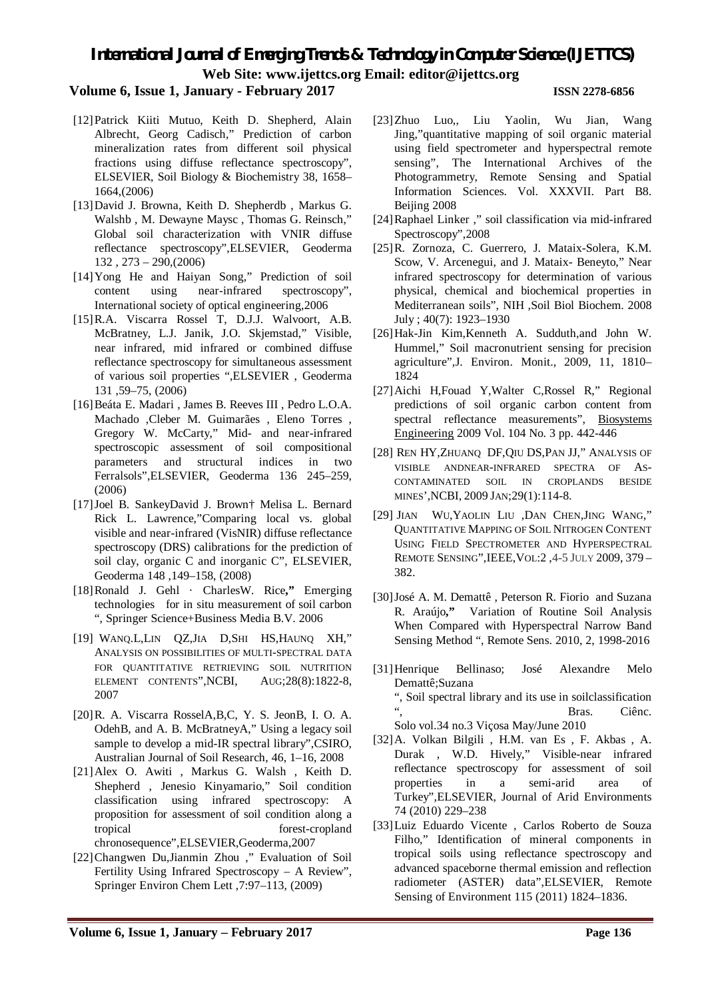### **Volume 6, Issue 1, January - February 2017 ISSN 2278-6856**

#### [12]Patrick Kiiti Mutuo, Keith D. Shepherd, Alain Albrecht, Georg Cadisch," Prediction of carbon mineralization rates from different soil physical fractions using diffuse reflectance spectroscopy", ELSEVIER, Soil Biology & Biochemistry 38, 1658– 1664,(2006)

- [13]David J. Browna, Keith D. Shepherdb , Markus G. Walshb , M. Dewayne Maysc , Thomas G. Reinsch," Global soil characterization with VNIR diffuse reflectance spectroscopy",ELSEVIER, Geoderma 132 , 273 – 290,(2006)
- [14]Yong He and Haiyan Song," Prediction of soil content using near-infrared spectroscopy", International society of optical engineering,2006
- [15]R.A. Viscarra Rossel T, D.J.J. Walvoort, A.B. McBratney, L.J. Janik, J.O. Skjemstad," Visible, near infrared, mid infrared or combined diffuse reflectance spectroscopy for simultaneous assessment of various soil properties ",ELSEVIER , Geoderma 131 ,59–75, (2006)
- [16]Beáta E. Madari , James B. Reeves III , Pedro L.O.A. Machado ,Cleber M. Guimarães , Eleno Torres , Gregory W. McCarty," Mid- and near-infrared spectroscopic assessment of soil compositional parameters and structural indices in two Ferralsols",ELSEVIER, Geoderma 136 245–259, (2006)
- [17]Joel B. SankeyDavid J. Brown† Melisa L. Bernard Rick L. Lawrence,"Comparing local vs. global visible and near-infrared (VisNIR) diffuse reflectance spectroscopy (DRS) calibrations for the prediction of soil clay, organic C and inorganic C", ELSEVIER, Geoderma 148 ,149–158, (2008)
- [18]Ronald J. Gehl · CharlesW. Rice**,"** Emerging technologies for in situ measurement of soil carbon ", Springer Science+Business Media B.V. 2006
- [19] WANQ.L,LIN QZ,JIA D,SHI HS,HAUNQ XH," ANALYSIS ON POSSIBILITIES OF MULTI-SPECTRAL DATA FOR QUANTITATIVE RETRIEVING SOIL NUTRITION ELEMENT CONTENTS",NCBI, AUG;28(8):1822-8, 2007
- [20]R. A. Viscarra RosselA,B,C, Y. S. JeonB, I. O. A. OdehB, and A. B. McBratneyA," Using a legacy soil sample to develop a mid-IR spectral library",CSIRO, Australian Journal of Soil Research, 46, 1–16, 2008
- [21]Alex O. Awiti , Markus G. Walsh , Keith D. Shepherd , Jenesio Kinyamario," Soil condition classification using infrared spectroscopy: A proposition for assessment of soil condition along a tropical forest-cropland chronosequence",ELSEVIER,Geoderma,2007
- [22]Changwen Du,Jianmin Zhou ," Evaluation of Soil Fertility Using Infrared Spectroscopy – A Review", Springer Environ Chem Lett ,7:97–113, (2009)
- [23]Zhuo Luo,, Liu Yaolin, Wu Jian, Wang Jing,"quantitative mapping of soil organic material using field spectrometer and hyperspectral remote sensing", The International Archives of the Photogrammetry, Remote Sensing and Spatial Information Sciences. Vol. XXXVII. Part B8. Beijing 2008
- [24]Raphael Linker ," soil classification via mid-infrared Spectroscopy",2008
- [25]R. Zornoza, C. Guerrero, J. Mataix-Solera, K.M. Scow, V. Arcenegui, and J. Mataix- Beneyto," Near infrared spectroscopy for determination of various physical, chemical and biochemical properties in Mediterranean soils", NIH ,Soil Biol Biochem. 2008 July ; 40(7): 1923–1930
- [26]Hak-Jin Kim,Kenneth A. Sudduth,and John W. Hummel," Soil macronutrient sensing for precision agriculture",J. Environ. Monit., 2009, 11, 1810– 1824
- [27]Aichi H,Fouad Y,Walter C,Rossel R," Regional predictions of soil organic carbon content from spectral reflectance measurements", Biosystems Engineering 2009 Vol. 104 No. 3 pp. 442-446
- [28] REN HY,ZHUANQ DF,QIU DS,PAN JJ," ANALYSIS OF VISIBLE ANDNEAR-INFRARED SPECTRA OF AS-CONTAMINATED SOIL IN CROPLANDS BESIDE MINES',NCBI, 2009 JAN;29(1):114-8.
- [29] JIAN WU,YAOLIN LIU ,DAN CHEN,JING WANG," QUANTITATIVE MAPPING OF SOIL NITROGEN CONTENT USING FIELD SPECTROMETER AND HYPERSPECTRAL REMOTE SENSING",IEEE,VOL:2 ,4-5 JULY 2009, 379 – 382.
- [30]José A. M. Demattê , Peterson R. Fiorio and Suzana R. Araújo**,"** Variation of Routine Soil Analysis When Compared with Hyperspectral Narrow Band Sensing Method ", Remote Sens. 2010, 2, 1998-2016
- [31]Henrique Bellinaso; José Alexandre Melo Demattê;Suzana ", Soil spectral library and its use in soilclassification".<br>" ", Bras. Ciênc. Solo vol.34 no.3 Viçosa May/June 2010
- [32]A. Volkan Bilgili , H.M. van Es , F. Akbas , A. Durak , W.D. Hively," Visible-near infrared reflectance spectroscopy for assessment of soil properties in a semi-arid area of Turkey",ELSEVIER, Journal of Arid Environments 74 (2010) 229–238
- [33]Luiz Eduardo Vicente , Carlos Roberto de Souza Filho," Identification of mineral components in tropical soils using reflectance spectroscopy and advanced spaceborne thermal emission and reflection radiometer (ASTER) data",ELSEVIER, Remote Sensing of Environment 115 (2011) 1824–1836.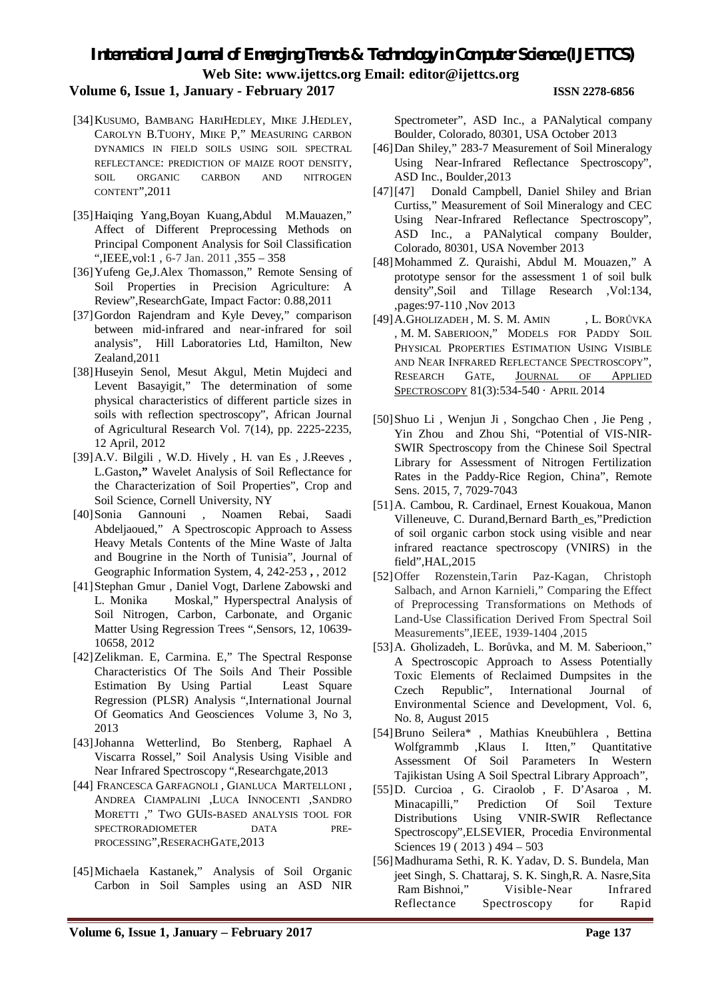### **Volume 6, Issue 1, January - February 2017 ISSN 2278-6856**

- [34] KUSUMO, BAMBANG HARIHEDLEY, MIKE J.HEDLEY, CAROLYN B.TUOHY, MIKE P," MEASURING CARBON DYNAMICS IN FIELD SOILS USING SOIL SPECTRAL REFLECTANCE: PREDICTION OF MAIZE ROOT DENSITY, SOIL ORGANIC CARBON AND NITROGEN CONTENT",2011
- [35]Haiqing Yang,Boyan Kuang,Abdul M.Mauazen," Affect of Different Preprocessing Methods on Principal Component Analysis for Soil Classification ",IEEE,vol:1 , 6-7 Jan. 2011 ,355 – 358
- [36]Yufeng Ge,J.Alex Thomasson," Remote Sensing of Soil Properties in Precision Agriculture: A Review",ResearchGate, Impact Factor: 0.88,2011
- [37]Gordon Rajendram and Kyle Devey," comparison between mid-infrared and near-infrared for soil analysis", Hill Laboratories Ltd, Hamilton, New Zealand,2011
- [38]Huseyin Senol, Mesut Akgul, Metin Mujdeci and Levent Basayigit," The determination of some physical characteristics of different particle sizes in soils with reflection spectroscopy", African Journal of Agricultural Research Vol. 7(14), pp. 2225-2235, 12 April, 2012
- [39]A.V. Bilgili , W.D. Hively , H. van Es , J.Reeves , L.Gaston**,"** Wavelet Analysis of Soil Reflectance for the Characterization of Soil Properties", Crop and Soil Science, Cornell University, NY
- [40]Sonia Gannouni , Noamen Rebai, Saadi Abdeljaoued," A Spectroscopic Approach to Assess Heavy Metals Contents of the Mine Waste of Jalta and Bougrine in the North of Tunisia", Journal of Geographic Information System, 4, 242-253 **,** , 2012
- [41]Stephan Gmur , Daniel Vogt, Darlene Zabowski and L. Monika Moskal," Hyperspectral Analysis of Soil Nitrogen, Carbon, Carbonate, and Organic Matter Using Regression Trees ",Sensors, 12, 10639- 10658, 2012
- [42]Zelikman. E, Carmina. E," The Spectral Response Characteristics Of The Soils And Their Possible Estimation By Using Partial Least Square Regression (PLSR) Analysis ",International Journal Of Geomatics And Geosciences Volume 3, No 3, 2013
- [43]Johanna Wetterlind, Bo Stenberg, Raphael A Viscarra Rossel," Soil Analysis Using Visible and Near Infrared Spectroscopy ",Researchgate,2013
- [44] FRANCESCA GARFAGNOLI , GIANLUCA MARTELLONI , ANDREA CIAMPALINI ,LUCA INNOCENTI ,SANDRO MORETTI ," TWO GUIS-BASED ANALYSIS TOOL FOR SPECTRORADIOMETER DATA PRE-PROCESSING",RESERACHGATE,2013
- [45]Michaela Kastanek," Analysis of Soil Organic Carbon in Soil Samples using an ASD NIR

Spectrometer", ASD Inc., a PANalytical company Boulder, Colorado, 80301, USA October 2013

- [46]Dan Shiley," 283-7 Measurement of Soil Mineralogy Using Near-Infrared Reflectance Spectroscopy", ASD Inc., Boulder,2013
- [47][47] Donald Campbell, Daniel Shiley and Brian Curtiss," Measurement of Soil Mineralogy and CEC Using Near-Infrared Reflectance Spectroscopy", ASD Inc., a PANalytical company Boulder, Colorado, 80301, USA November 2013
- [48]Mohammed Z. Quraishi, Abdul M. Mouazen," A prototype sensor for the assessment 1 of soil bulk density",Soil and Tillage Research ,Vol:134, ,pages:97-110 ,Nov 2013
- [49] A.GHOLIZADEH, M. S. M. AMIN , L. BORŮVKA , M. M. SABERIOON," MODELS FOR PADDY SOIL PHYSICAL PROPERTIES ESTIMATION USING VISIBLE AND NEAR INFRARED REFLECTANCE SPECTROSCOPY", RESEARCH GATE, JOURNAL OF APPLIED SPECTROSCOPY 81(3):534-540 · APRIL 2014
- [50]Shuo Li , Wenjun Ji , Songchao Chen , Jie Peng , Yin Zhou and Zhou Shi, "Potential of VIS-NIR-SWIR Spectroscopy from the Chinese Soil Spectral Library for Assessment of Nitrogen Fertilization Rates in the Paddy-Rice Region, China", Remote Sens. 2015, 7, 7029-7043
- [51]A. Cambou, R. Cardinael, Ernest Kouakoua, Manon Villeneuve, C. Durand,Bernard Barth\_es,"Prediction of soil organic carbon stock using visible and near infrared reactance spectroscopy (VNIRS) in the field",HAL,2015
- [52]Offer Rozenstein,Tarin Paz-Kagan, Christoph Salbach, and Arnon Karnieli," Comparing the Effect of Preprocessing Transformations on Methods of Land-Use Classification Derived From Spectral Soil Measurements",IEEE, 1939-1404 ,2015
- [53]A. Gholizadeh, L. Borůvka, and M. M. Saberioon," A Spectroscopic Approach to Assess Potentially Toxic Elements of Reclaimed Dumpsites in the Czech Republic", International Journal of Environmental Science and Development, Vol. 6, No. 8, August 2015
- [54]Bruno Seilera\* , Mathias Kneubühlera , Bettina Wolfgrammb ,Klaus I. Itten," Quantitative Assessment Of Soil Parameters In Western Tajikistan Using A Soil Spectral Library Approach",
- [55]D. Curcioa , G. Ciraolob , F. D'Asaroa , M. Minacapilli," Prediction Of Soil Texture Distributions Using VNIR-SWIR Reflectance Spectroscopy",ELSEVIER, Procedia Environmental Sciences 19 (2013) 494 - 503
- [56]Madhurama Sethi, R. K. Yadav, D. S. Bundela, Man jeet Singh, S. Chattaraj, S. K. Singh,R. A. Nasre,Sita Ram Bishnoi," Visible-Near Infrared Reflectance Spectroscopy for Rapid